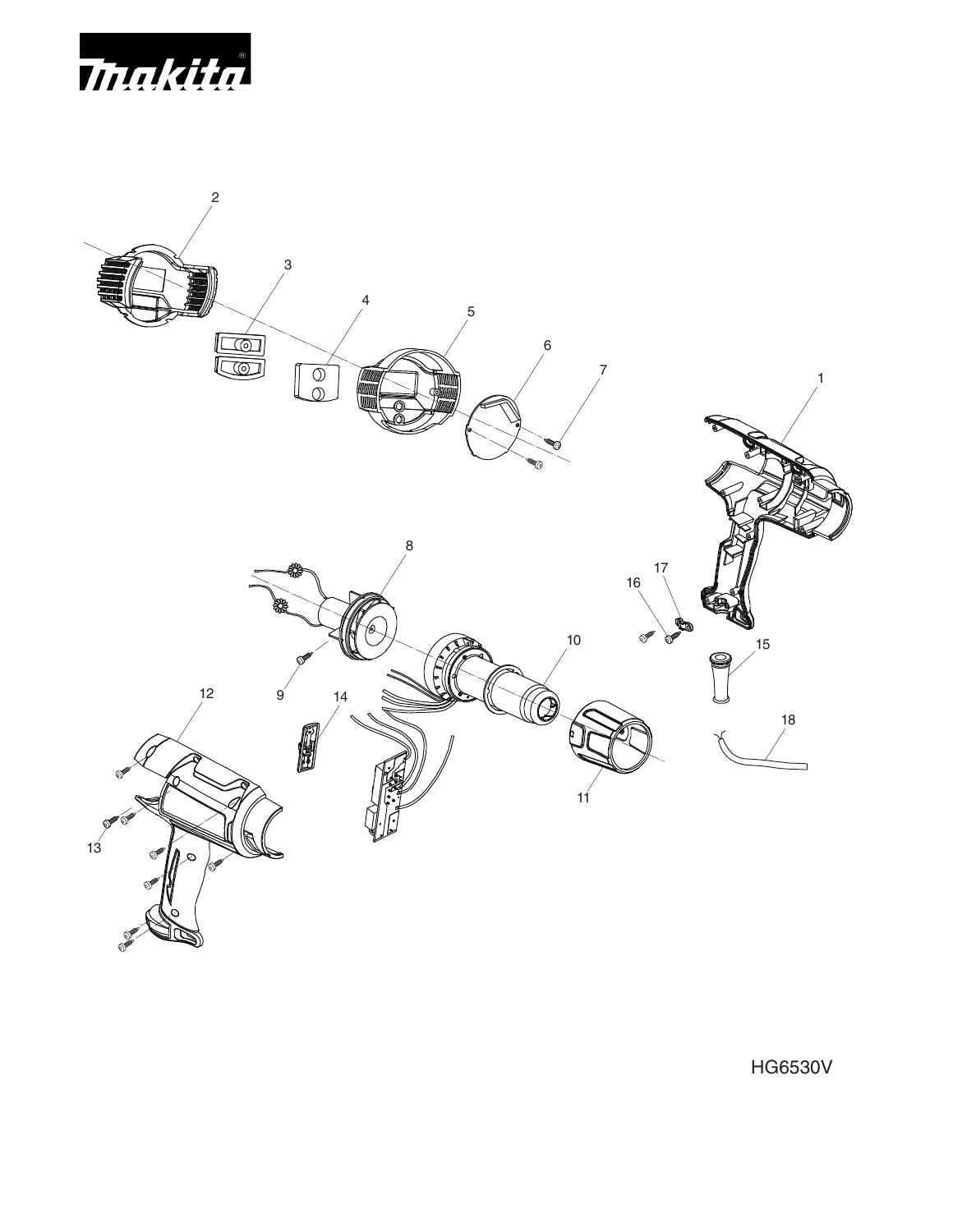



HG6530V